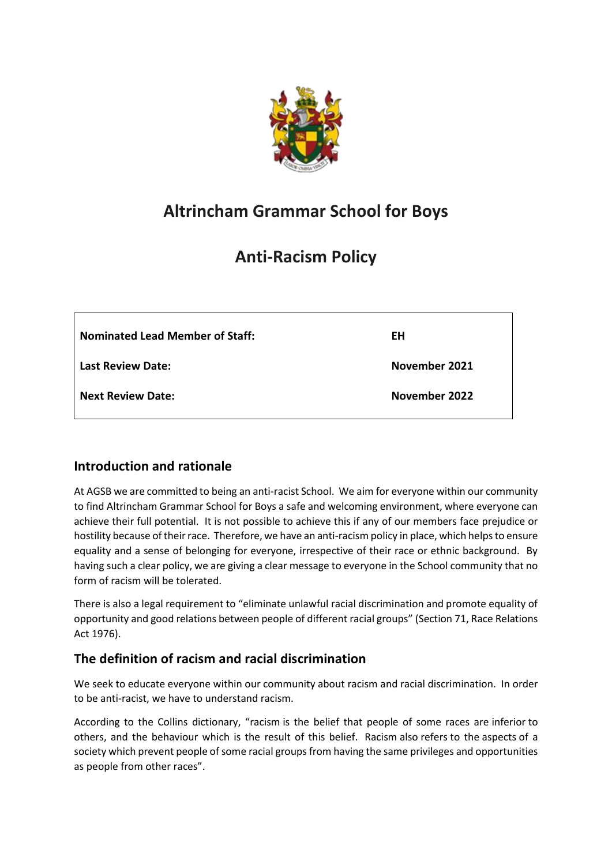

# **Altrincham Grammar School for Boys**

# **Anti-Racism Policy**

| <b>Nominated Lead Member of Staff:</b> | ΕH            |
|----------------------------------------|---------------|
| <b>Last Review Date:</b>               | November 2021 |
| <b>Next Review Date:</b>               | November 2022 |

# **Introduction and rationale**

At AGSB we are committed to being an anti-racist School. We aim for everyone within our community to find Altrincham Grammar School for Boys a safe and welcoming environment, where everyone can achieve their full potential. It is not possible to achieve this if any of our members face prejudice or hostility because of their race. Therefore, we have an anti-racism policy in place, which helps to ensure equality and a sense of belonging for everyone, irrespective of their race or ethnic background. By having such a clear policy, we are giving a clear message to everyone in the School community that no form of racism will be tolerated.

There is also a legal requirement to "eliminate unlawful racial discrimination and promote equality of opportunity and good relations between people of different racial groups" (Section 71, Race Relations Act 1976).

## **The definition of racism and racial discrimination**

We seek to educate everyone within our community about racism and racial discrimination. In order to be anti-racist, we have to understand racism.

According to the Collins dictionary, "racism is the belief that people of some races are [inferior](https://www.collinsdictionary.com/dictionary/english/inferior) to others, and the behaviour which is the result of this belief. Racism [also](https://www.collinsdictionary.com/dictionary/english/also) [refers](https://www.collinsdictionary.com/dictionary/english/refer) to the [aspects](https://www.collinsdictionary.com/dictionary/english/aspect) of a society which prevent people of some racial groups from having the same privileges and opportunities as people from other races".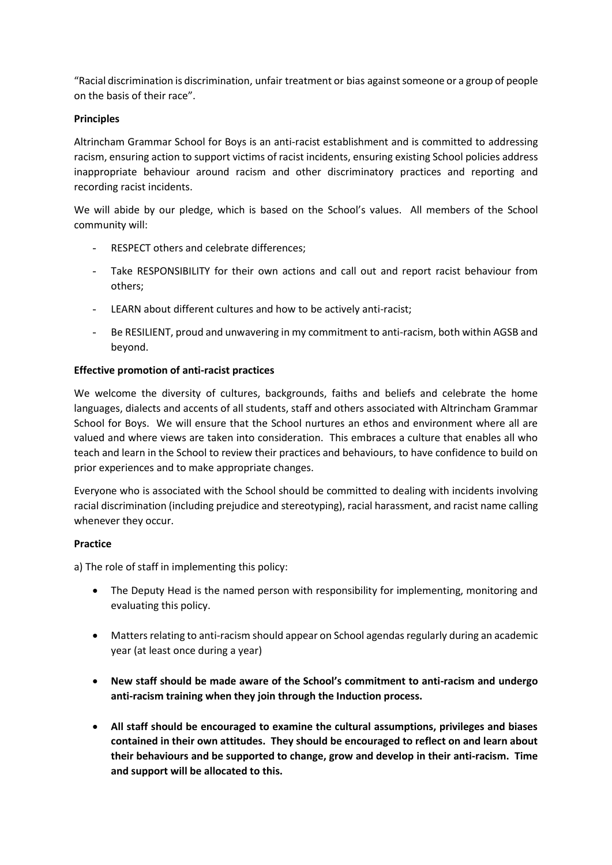"Racial discrimination is [discrimination,](https://www.collinsdictionary.com/dictionary/english/discrimination) [unfair](https://www.collinsdictionary.com/dictionary/english/unfair) treatment or [bias](https://www.collinsdictionary.com/dictionary/english/bias) against someone or a group of people on the [basis](https://www.collinsdictionary.com/dictionary/english/basis) of their race".

### **Principles**

Altrincham Grammar School for Boys is an anti-racist establishment and is committed to addressing racism, ensuring action to support victims of racist incidents, ensuring existing School policies address inappropriate behaviour around racism and other discriminatory practices and reporting and recording racist incidents.

We will abide by our pledge, which is based on the School's values. All members of the School community will:

- RESPECT others and celebrate differences;
- Take RESPONSIBILITY for their own actions and call out and report racist behaviour from others;
- LEARN about different cultures and how to be actively anti-racist;
- Be RESILIENT, proud and unwavering in my commitment to anti-racism, both within AGSB and beyond.

#### **Effective promotion of anti-racist practices**

We welcome the diversity of cultures, backgrounds, faiths and beliefs and celebrate the home languages, dialects and accents of all students, staff and others associated with Altrincham Grammar School for Boys. We will ensure that the School nurtures an ethos and environment where all are valued and where views are taken into consideration. This embraces a culture that enables all who teach and learn in the School to review their practices and behaviours, to have confidence to build on prior experiences and to make appropriate changes.

Everyone who is associated with the School should be committed to dealing with incidents involving racial discrimination (including prejudice and stereotyping), racial harassment, and racist name calling whenever they occur.

#### **Practice**

a) The role of staff in implementing this policy:

- The Deputy Head is the named person with responsibility for implementing, monitoring and evaluating this policy.
- Matters relating to anti-racism should appear on School agendas regularly during an academic year (at least once during a year)
- **New staff should be made aware of the School's commitment to anti-racism and undergo anti-racism training when they join through the Induction process.**
- **All staff should be encouraged to examine the cultural assumptions, privileges and biases contained in their own attitudes. They should be encouraged to reflect on and learn about their behaviours and be supported to change, grow and develop in their anti-racism. Time and support will be allocated to this.**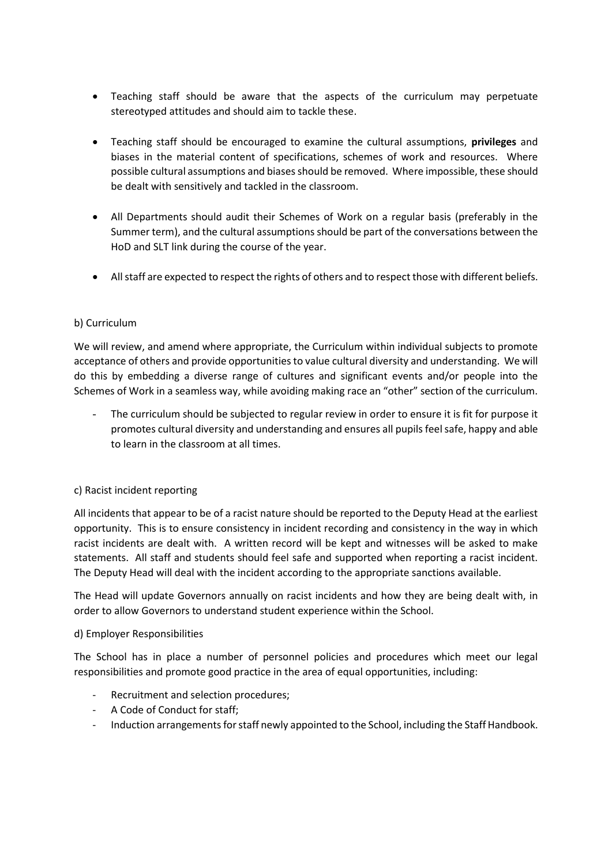- Teaching staff should be aware that the aspects of the curriculum may perpetuate stereotyped attitudes and should aim to tackle these.
- Teaching staff should be encouraged to examine the cultural assumptions, **privileges** and biases in the material content of specifications, schemes of work and resources. Where possible cultural assumptions and biasesshould be removed. Where impossible, these should be dealt with sensitively and tackled in the classroom.
- All Departments should audit their Schemes of Work on a regular basis (preferably in the Summer term), and the cultural assumptions should be part of the conversations between the HoD and SLT link during the course of the year.
- All staff are expected to respect the rights of others and to respect those with different beliefs.

## b) Curriculum

We will review, and amend where appropriate, the Curriculum within individual subjects to promote acceptance of others and provide opportunities to value cultural diversity and understanding. We will do this by embedding a diverse range of cultures and significant events and/or people into the Schemes of Work in a seamless way, while avoiding making race an "other" section of the curriculum.

The curriculum should be subjected to regular review in order to ensure it is fit for purpose it promotes cultural diversity and understanding and ensures all pupils feel safe, happy and able to learn in the classroom at all times.

## c) Racist incident reporting

All incidents that appear to be of a racist nature should be reported to the Deputy Head at the earliest opportunity. This is to ensure consistency in incident recording and consistency in the way in which racist incidents are dealt with. A written record will be kept and witnesses will be asked to make statements. All staff and students should feel safe and supported when reporting a racist incident. The Deputy Head will deal with the incident according to the appropriate sanctions available.

The Head will update Governors annually on racist incidents and how they are being dealt with, in order to allow Governors to understand student experience within the School.

#### d) Employer Responsibilities

The School has in place a number of personnel policies and procedures which meet our legal responsibilities and promote good practice in the area of equal opportunities, including:

- Recruitment and selection procedures;
- A Code of Conduct for staff;
- Induction arrangements for staff newly appointed to the School, including the Staff Handbook.